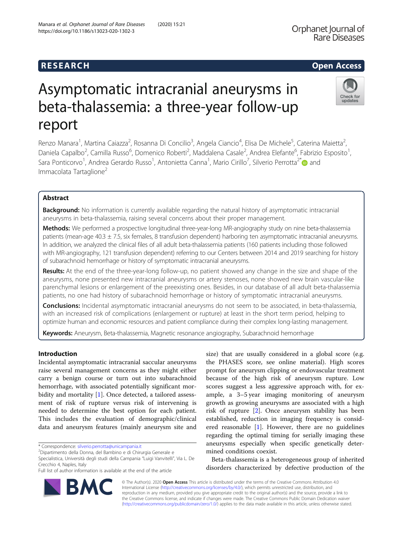## **RESEARCH CHILD CONTROL** CONTROL CONTROL CONTROL CONTROL CONTROL CONTROL CONTROL CONTROL CONTROL CONTROL CONTROL CONTROL CONTROL CONTROL CONTROL CONTROL CONTROL CONTROL CONTROL CONTROL CONTROL CONTROL CONTROL CONTROL CONTR

# Asymptomatic intracranial aneurysms in beta-thalassemia: a three-year follow-up report

Renzo Manara<sup>1</sup>, Martina Caiazza<sup>2</sup>, Rosanna Di Concilio<sup>3</sup>, Angela Ciancio<sup>4</sup>, Elisa De Michele<sup>5</sup>, Caterina Maietta<sup>2</sup> , Daniela Capalbo<sup>2</sup>, Camilla Russo<sup>6</sup>, Domenico Roberti<sup>2</sup>, Maddalena Casale<sup>2</sup>, Andrea Elefante<sup>6</sup>, Fabrizio Esposito<sup>1</sup> , Sara Ponticorvo<sup>1</sup>, Andrea Gerardo Russo<sup>1</sup>, Antonietta Canna<sup>1</sup>, Mario Cirillo<sup>7</sup>, Silverio Perrotta<sup>2\*</sup> @and Immacolata Tartaglione<sup>2</sup>

## Abstract

Background: No information is currently available regarding the natural history of asymptomatic intracranial aneurysms in beta-thalassemia, raising several concerns about their proper management.

Methods: We performed a prospective longitudinal three-year-long MR-angiography study on nine beta-thalassemia patients (mean-age 40.3  $\pm$  7.5, six females, 8 transfusion dependent) harboring ten asymptomatic intracranial aneurysms. In addition, we analyzed the clinical files of all adult beta-thalassemia patients (160 patients including those followed with MR-angiography, 121 transfusion dependent) referring to our Centers between 2014 and 2019 searching for history of subarachnoid hemorrhage or history of symptomatic intracranial aneurysms.

Results: At the end of the three-year-long follow-up, no patient showed any change in the size and shape of the aneurysms, none presented new intracranial aneurysms or artery stenoses, none showed new brain vascular-like parenchymal lesions or enlargement of the preexisting ones. Besides, in our database of all adult beta-thalassemia patients, no one had history of subarachnoid hemorrhage or history of symptomatic intracranial aneurysms.

Conclusions: Incidental asymptomatic intracranial aneurysms do not seem to be associated, in beta-thalassemia, with an increased risk of complications (enlargement or rupture) at least in the short term period, helping to optimize human and economic resources and patient compliance during their complex long-lasting management.

Keywords: Aneurysm, Beta-thalassemia, Magnetic resonance angiography, Subarachnoid hemorrhage

## Introduction

Incidental asymptomatic intracranial saccular aneurysms raise several management concerns as they might either carry a benign course or turn out into subarachnoid hemorrhage, with associated potentially significant morbidity and mortality [\[1\]](#page-3-0). Once detected, a tailored assessment of risk of rupture versus risk of intervening is needed to determine the best option for each patient. This includes the evaluation of demographic/clinical data and aneurysm features (mainly aneurysm site and

size) that are usually considered in a global score (e.g. the PHASES score, see online material). High scores prompt for aneurysm clipping or endovascular treatment because of the high risk of aneurysm rupture. Low scores suggest a less aggressive approach with, for example, a 3–5 year imaging monitoring of aneurysm growth as growing aneurysms are associated with a high risk of rupture [[2\]](#page-3-0). Once aneurysm stability has been established, reduction in imaging frequency is considered reasonable [\[1](#page-3-0)]. However, there are no guidelines regarding the optimal timing for serially imaging these aneurysms especially when specific genetically determined conditions coexist.

Beta-thalassemia is a heterogeneous group of inherited disorders characterized by defective production of the

© The Author(s). 2020 Open Access This article is distributed under the terms of the Creative Commons Attribution 4.0 International License [\(http://creativecommons.org/licenses/by/4.0/](http://creativecommons.org/licenses/by/4.0/)), which permits unrestricted use, distribution, and reproduction in any medium, provided you give appropriate credit to the original author(s) and the source, provide a link to the Creative Commons license, and indicate if changes were made. The Creative Commons Public Domain Dedication waiver [\(http://creativecommons.org/publicdomain/zero/1.0/](http://creativecommons.org/publicdomain/zero/1.0/)) applies to the data made available in this article, unless otherwise stated.





Check for updates

Dipartimento della Donna, del Bambino e di Chirurgia Generale e

Specialistica, Università degli studi della Campania "Luigi Vanvitelli", Via L. De Crecchio 4, Naples, Italy

Full list of author information is available at the end of the article

<sup>\*</sup> Correspondence: [silverio.perrotta@unicampania.it](mailto:silverio.perrotta@unicampania.it) <sup>2</sup>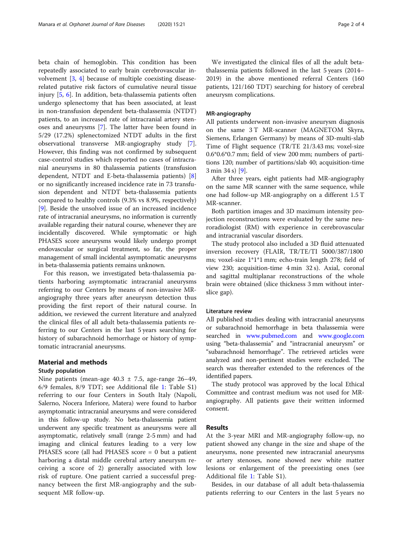beta chain of hemoglobin. This condition has been repeatedly associated to early brain cerebrovascular involvement [[3,](#page-3-0) [4\]](#page-3-0) because of multiple coexisting diseaserelated putative risk factors of cumulative neural tissue injury [\[5](#page-3-0), [6\]](#page-3-0). In addition, beta-thalassemia patients often undergo splenectomy that has been associated, at least in non-transfusion dependent beta-thalassemia (NTDT) patients, to an increased rate of intracranial artery stenoses and aneurysms [[7\]](#page-3-0). The latter have been found in 5/29 (17.2%) splenectomized NTDT adults in the first observational transverse MR-angiography study [\[7](#page-3-0)]. However, this finding was not confirmed by subsequent case-control studies which reported no cases of intracranial aneurysms in 80 thalassemia patients (transfusion dependent, NTDT and E-beta-thalassemia patients) [\[8](#page-3-0)] or no significantly increased incidence rate in 73 transfusion dependent and NTDT beta-thalassemia patients compared to healthy controls (9.3% vs 8.9%, respectively) [[9\]](#page-3-0). Beside the unsolved issue of an increased incidence rate of intracranial aneurysms, no information is currently available regarding their natural course, whenever they are incidentally discovered. While symptomatic or high PHASES score aneurysms would likely undergo prompt endovascular or surgical treatment, so far, the proper management of small incidental asymptomatic aneurysms in beta-thalassemia patients remains unknown.

For this reason, we investigated beta-thalassemia patients harboring asymptomatic intracranial aneurysms referring to our Centers by means of non-invasive MRangiography three years after aneurysm detection thus providing the first report of their natural course. In addition, we reviewed the current literature and analyzed the clinical files of all adult beta-thalassemia patients referring to our Centers in the last 5 years searching for history of subarachnoid hemorrhage or history of symptomatic intracranial aneurysms.

## Material and methods

## Study population

Nine patients (mean-age  $40.3 \pm 7.5$ , age-range  $26-49$ , 6/9 females, 8/9 TDT; see Additional file [1](#page-3-0): Table S1) referring to our four Centers in South Italy (Napoli, Salerno, Nocera Inferiore, Matera) were found to harbor asymptomatic intracranial aneurysms and were considered in this follow-up study. No beta-thalassemia patient underwent any specific treatment as aneurysms were all asymptomatic, relatively small (range 2-5 mm) and had imaging and clinical features leading to a very low PHASES score (all had PHASES score = 0 but a patient harboring a distal middle cerebral artery aneurysm receiving a score of 2) generally associated with low risk of rupture. One patient carried a successful pregnancy between the first MR-angiography and the subsequent MR follow-up.

We investigated the clinical files of all the adult betathalassemia patients followed in the last 5 years (2014– 2019) in the above mentioned referral Centers (160 patients, 121/160 TDT) searching for history of cerebral aneurysm complications.

### MR-angiography

All patients underwent non-invasive aneurysm diagnosis on the same 3 T MR-scanner (MAGNETOM Skyra, Siemens, Erlangen Germany) by means of 3D-multi-slab Time of Flight sequence (TR/TE 21/3.43 ms; voxel-size 0.6\*0.6\*0.7 mm; field of view 200 mm; numbers of partitions 120; number of partitions/slab 40; acquisition-time 3 min 34 s) [[9](#page-3-0)].

After three years, eight patients had MR-angiography on the same MR scanner with the same sequence, while one had follow-up MR-angiography on a different 1.5 T MR-scanner.

Both partition images and 3D maximum intensity projection reconstructions were evaluated by the same neuroradiologist (RM) with experience in cerebrovascular and intracranial vascular disorders.

The study protocol also included a 3D fluid attenuated inversion recovery (FLAIR, TR/TE/TI 5000/387/1800 ms; voxel-size 1\*1\*1 mm; echo-train length 278; field of view 230; acquisition-time 4 min 32 s). Axial, coronal and sagittal multiplanar reconstructions of the whole brain were obtained (slice thickness 3 mm without interslice gap).

#### Literature review

All published studies dealing with intracranial aneurysms or subarachnoid hemorrhage in beta thalassemia were searched in [www.pubmed.com](http://www.pubmed.com) and [www.google.com](http://www.google.com) using "beta-thalassemia" and "intracranial aneurysm" or "subarachnoid hemorrhage". The retrieved articles were analyzed and non-pertinent studies were excluded. The search was thereafter extended to the references of the identified papers.

The study protocol was approved by the local Ethical Committee and contrast medium was not used for MRangiography. All patients gave their written informed consent.

## Results

At the 3-year MRI and MR-angiography follow-up, no patient showed any change in the size and shape of the aneurysms, none presented new intracranial aneurysms or artery stenoses, none showed new white matter lesions or enlargement of the preexisting ones (see Additional file [1](#page-3-0): Table S1).

Besides, in our database of all adult beta-thalassemia patients referring to our Centers in the last 5 years no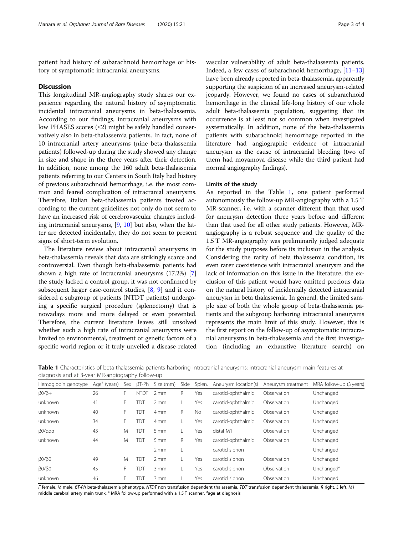patient had history of subarachnoid hemorrhage or history of symptomatic intracranial aneurysms.

#### **Discussion**

This longitudinal MR-angiography study shares our experience regarding the natural history of asymptomatic incidental intracranial aneurysms in beta-thalassemia. According to our findings, intracranial aneurysms with low PHASES scores  $(\leq 2)$  might be safely handled conservatively also in beta-thalassemia patients. In fact, none of 10 intracranial artery aneurysms (nine beta-thalassemia patients) followed-up during the study showed any change in size and shape in the three years after their detection. In addition, none among the 160 adult beta-thalassemia patients referring to our Centers in South Italy had history of previous subarachnoid hemorrhage, i.e. the most common and feared complication of intracranial aneurysms. Therefore, Italian beta-thalassemia patients treated according to the current guidelines not only do not seem to have an increased risk of cerebrovascular changes including intracranial aneurysms, [\[9](#page-3-0), [10](#page-3-0)] but also, when the latter are detected incidentally, they do not seem to present signs of short-term evolution.

The literature review about intracranial aneurysms in beta-thalassemia reveals that data are strikingly scarce and controversial. Even though beta-thalassemia patients had shown a high rate of intracranial aneurysms (17.2%) [[7](#page-3-0)] the study lacked a control group, it was not confirmed by subsequent larger case-control studies, [[8,](#page-3-0) [9](#page-3-0)] and it considered a subgroup of patients (NTDT patients) undergoing a specific surgical procedure (splenectomy) that is nowadays more and more delayed or even prevented. Therefore, the current literature leaves still unsolved whether such a high rate of intracranial aneurysms were limited to environmental, treatment or genetic factors of a specific world region or it truly unveiled a disease-related

vascular vulnerability of adult beta-thalassemia patients. Indeed, a few cases of subarachnoid hemorrhage, [\[11](#page-3-0)–[13](#page-3-0)] have been already reported in beta-thalassemia, apparently supporting the suspicion of an increased aneurysm-related jeopardy. However, we found no cases of subarachnoid hemorrhage in the clinical life-long history of our whole adult beta-thalassemia population, suggesting that its occurrence is at least not so common when investigated systematically. In addition, none of the beta-thalassemia patients with subarachnoid hemorrhage reported in the literature had angiographic evidence of intracranial aneurysm as the cause of intracranial bleeding (two of them had moyamoya disease while the third patient had normal angiography findings).

#### Limits of the study

As reported in the Table 1, one patient performed autonomously the follow-up MR-angiography with a 1.5 T MR-scanner, i.e. with a scanner different than that used for aneurysm detection three years before and different than that used for all other study patients. However, MRangiography is a robust sequence and the quality of the 1.5 T MR-angiography was preliminarily judged adequate for the study purposes before its inclusion in the analysis. Considering the rarity of beta thalassemia condition, its even rarer coexistence with intracranial aneurysm and the lack of information on this issue in the literature, the exclusion of this patient would have omitted precious data on the natural history of incidentally detected intracranial aneurysm in beta thalassemia. In general, the limited sample size of both the whole group of beta-thalassemia patients and the subgroup harboring intracranial aneurysms represents the main limit of this study. However, this is the first report on the follow-up of asymptomatic intracranial aneurysms in beta-thalassemia and the first investigation (including an exhaustive literature search) on

Table 1 Characteristics of beta-thalassemia patients harboring intracranial aneurysms; intracranial aneurysm main features at diagnosis and at 3-year MR-angiography follow-up

| Hemoglobin genotype  | Age <sup>a</sup> (years) | Sex | $\beta T$ -Ph | Size (mm)        | Side | Splen.    | Aneurysm location(s) | Aneurysm treatment | MRA follow-up (3 years) |
|----------------------|--------------------------|-----|---------------|------------------|------|-----------|----------------------|--------------------|-------------------------|
| $\beta$ 0/ $\beta$ + | 26                       | F.  | <b>NTDT</b>   | 2mm              | R    | Yes       | carotid-ophthalmic   | Observation        | Unchanged               |
| unknown              | 41                       | F.  | TDT           | $2 \, \text{mm}$ |      | Yes       | carotid-ophthalmic   | Observation        | Unchanged               |
| unknown              | 40                       | F.  | TDT           | 4 mm             | R    | <b>No</b> | carotid-ophthalmic   | Observation        | Unchanged               |
| unknown              | 34                       | F.  | TDT           | 4 <sub>mm</sub>  |      | Yes       | carotid-ophthalmic   | Observation        | Unchanged               |
| β0/ααα               | 43                       | M   | TDT           | 5 <sub>mm</sub>  |      | Yes       | distal M1            | Observation        | Unchanged               |
| unknown              | 44                       | M   | TDT           | 5 <sub>mm</sub>  | R    | Yes       | carotid-ophthalmic   | Observation        | Unchanged               |
|                      |                          |     |               | 2mm              |      |           | carotid siphon       |                    | Unchanged               |
| β0/β0                | 49                       | M   | <b>TDT</b>    | $2 \, \text{mm}$ |      | Yes       | carotid siphon       | Observation        | Unchanged               |
| $\beta$ 0/ $\beta$ 0 | 45                       | F.  | TDT           | 3mm              |      | Yes       | carotid siphon       | Observation        | Unchanged°              |
| unknown              | 46                       | F.  | TDT           | $3 \, \text{mm}$ |      | Yes       | carotid siphon       | Observation        | Unchanged               |
|                      |                          |     |               |                  |      |           |                      |                    |                         |

F female, M male, βT-Ph beta-thalassemia phenotype, NTDT non transfusion dependent thalassemia, TDT transfusion dependent thalassemia, R right, L left, M1 middle cerebral artery main trunk, <sup>o</sup> MRA follow-up performed with a 1.5 T scanner, <sup>a</sup>age at diagnosis